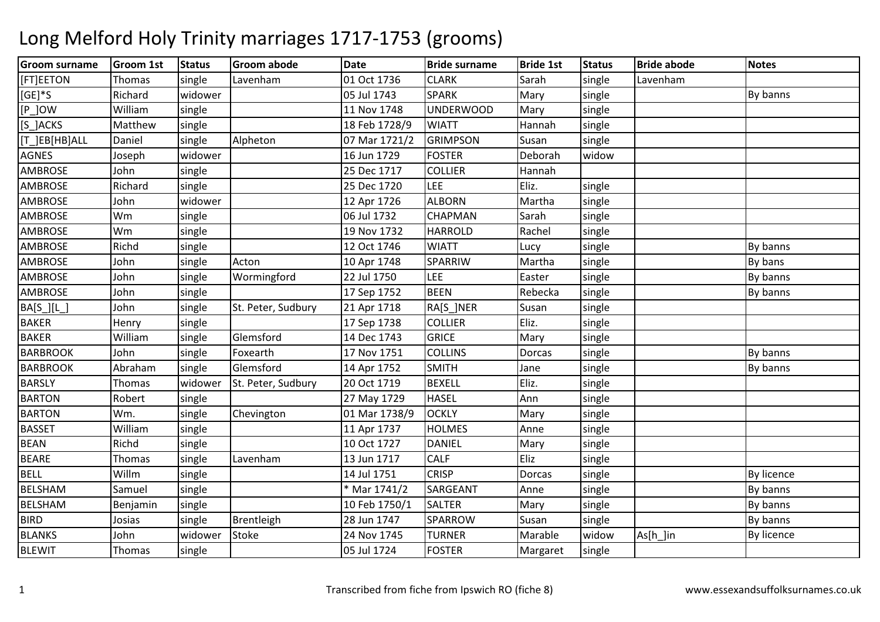### Groom surnamee |Groom 1st |Status |Groom abode | Date | Bride surname | Bride 1st | Status | Bride abode | Notes **[FT]EETON** Thomas single Lavenham<br>Richard widower m 101 Oct 1736 CLARK Sarah single Lavenham [GE]\*S Richardd widower 1983 MILL NATH OS Jul 1743 SPARK Mary single Number By banns [P\_]OWW 11 Nov 1748 UNDERWOOD Mary single<br>CKS – Marthaus single 11 Nov 1748 UNDERWOOD Mary single [S\_]ACKS Mattheww single 18 Feb 1728/9 WIATT Hannah single<br>And the single state of the state of the state of the state of the state of the state of the state of the stat [T\_]EB[HB]ALLDaniel single Alpheton07 Mar 1721/2 GRIMPSON<br>16 Jun 1729 FOSTER Susan single<br>Deborah widow AGNES Josephh | widower | 16 Jun 1729 | FOSTER Deborah AMBROSE Johnn single 25 Dec 1717 COLLIER COLLIER Hannah<br>LEE Eliz. AMBROSE Richard single 25 Dec 1720 LEE Eliz. single AMBROSE John widower 12 Apr 1726 ALBORNMartha single<br>Sarah single AMBROSE Wmm single 196 Jul 1732 CHAPMAN Sarah single<br>1991 - Linux Land Land 1732 Utanggalan Sarah single AMBROSE Wmm single 19 Nov 1732 HARROLD Rachel single<br>https://www.accounter.com/www.accounter.com/www.accounter.com/www.accounter.com/www.accounter.com/www.accounter AMBROSE Richdd single 12 Oct 1746 WIATT Lucy single Single By banns AMBROSE Johnsingle Acton 10 Apr 1748 SPARRIW<br>
single Wormingford 22 Jul 1750 LIFF W Martha single By bans<br>Express single By Dukess AMBROSE Johnn single Wormingford 22 Jul 1750 LEE Easter single Single By banns AMBROSE Johnsingle | 17 Sep 1752 BEEN N Rebecka single **By banns** BA[S\_][L\_] Johnsingle St. Peter, Sudbury 21 Apr 1718 RA[S\_]NER<br>single 17 Sep 1738 COLLIER Susan single<br>Eliz. single BAKERR Henry single 17 Sep 1738 COLLIER Eliz. Single BAKER William single Glemsford 14 Dec 1743 GRICE Mary single **BARBROOK** K John Single Foxearth 17 Nov 1751 COLLINS Dorcas single Late By banns BARBROOKAbraham<br>Thomas m single Glemsford 14 Apr 1752 SMITH Jane single Single By banns<br>1980 - Single By banns San 1740 Server Super Super State State State State State State State State State State **BARSLY** Thomas Widower St. Peter, Sudbury 20 Oct 1719<br>Robert single 27 May 1729 9 BEXELL Eliz. Single BARTONN Robert single 27 May 1729 HASEL Ann single BARTONN Wm. single Chevington 01 Mar 1738/9 OCKLY Mary single **BASSET**  Williamm | single | 11 Apr 1737 | HOLMES | Anne | single | 11 Apr 1737 | HOLMES | Anne | single | 1 BEANN Richd Single 10 Oct 1727 DANIEL Mary single BEAREThomas single Lavenhamm 13 Jun 1717 CALF Eliz single BELL Willmm single 14 Jul 1751 CRISP Dorcas single By licence BELSHAM Samuel single \* Mar 1741/2 SARGEANT Anne single By banns BELSHAMM Benjamin single 10 Feb 1750/1 SALTER Mary single By banns<br>All the single By banns and the single By banns and the single single By banns BIRDD **Josias** single Brentleigh 28 Jun 1747 SPARROW W Susan single By banns<br>Advertise states and the Bullisons BLANKS Johnwidower Stoke 24 Nov 1745 TURNER Marable widow widow As[h\_]in By licence<br>single BLEWITThomas single 05 Jul 1724 FOSTERMargaret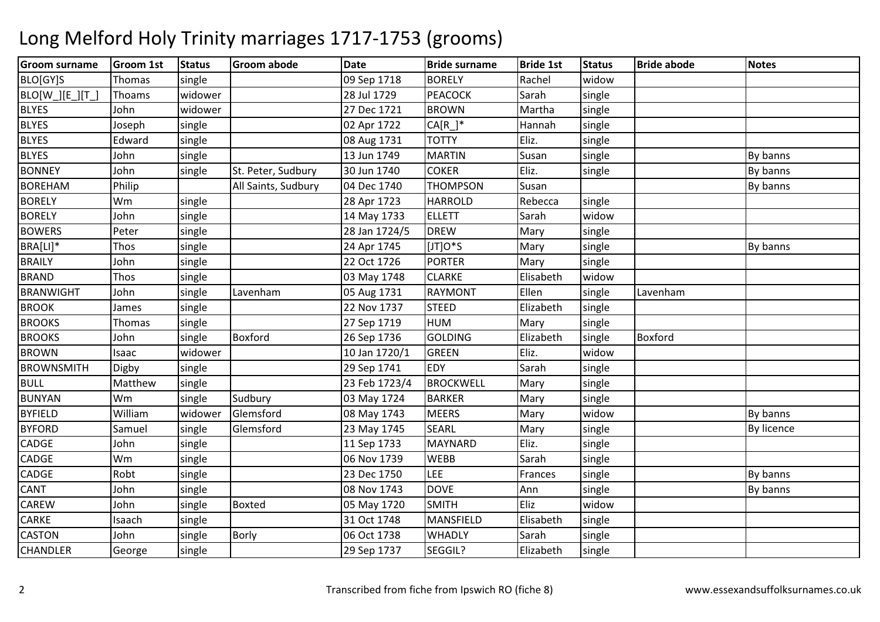### Groom surnamee |Groom 1st |Status |Groom abode | Date | Bride surname | Bride 1st | Status | Bride abode | Notes **BLO[GY]S** Thomas Isingle 09 Sep 17188 BORELY Rachel widow K Sarah single BLO[W\_][E\_][T\_] Thoams widower 28 Jul 172928 Jul 1729 PEACOCK<br>27 Dec 1721 BROWN **BLYES**  Johnn widower 27 Dec 1721 BROWN BROWN Martha single<br>CA[R ]\* Hannah single BLYES Josephh |single | 1990 102 Apr 1722 | CA[R\_]\* | Hannah |single **BLYES**  Edwardd | single | 1990 | 1990 | 1990 | 1990 | 1990 | 1990 | 1990 | 1990 | 1990 | 1990 | 1990 | 1990 | 1990 | 1990 | 1 **BLYES**  Johnn single 13 Jun 1749 MARTIN N Susan single By banns BONNEY JohnSingle St. Peter, Sudbury 30 Jun 1740 COKER<br>Philip Contract All Saints. Sudbury 04 Dec 1740 THOMPSON R Eliz. Single By banns BOREHAMM Philip All Saints, Sudbury 04 Dec 1740 THOMPSON Susan All All Saints, Sudbury 04 Dec 1740 THOMPSON Susan By Land By banns **BORELY**  Wmm single 28 Apr 1723 HARROLD Rebecca single<br>
28 Apr 1723 HARROLD Rebecca single BORELYJohn<br>Peter n | single | 14 May 1733 ELLETT | Sarah | widow single BOWERSsingle 28 Jan 1724/5DREW<br>IJTIO\*S W Mary single<br>
Mary single BRA[LI]\*Thos single 1 and 24 Apr 1745 5 [JT]O\*S Mary single By banns BRAILY Johnsingle | 22 Oct 1726 PORTER PORTER Mary single<br>CLARKE Elisabeth widow **BRAND**  Thos single 03 May 1748 CLARKE Elisabeth widowsingle BRANWIGHT John single Lavenhamm 105 Aug 1731 RAYMONT Ellen single Lavenham **BROOK** K James single 22 Nov 1737 STEED STEED Elizabeth single<br>HUM Mary single BROOKSThomas single 27 Sep 1719HUM<br>GOLDING Mary single<br>Annual Single **BROOKS**  Johnsingle Boxford 26 Sep 1736 GOLDI<br>
widower 10 Jan 1720/1 GREEN Elizabeth single Boxford<br>Eliz. widow BROWNN Isaac widower 10 Jan 1720/1 GREEN Eliz. widow single BROWNSMITHH Digby single 29 Sep 1741 EDY Sarah single BULL Mattheww single 23 Feb 1723/4 BROCKWELL Mary single<br>And the material contract of the state of the state of the state of the state of the state of the state of the BUNYAN Wm single Sudbury 03 May 1724 BARKER Mary single BYFIELDWilliam<br>Samuel m widower Glemsford 108 May 1743 MEERS Mary widow Widow By banns<br>The Line of the College of the College of the College of the College of the College of the College of the Coll **BYFORD** D Samuel single Glemsford 23 May 1745 SEARL Mary single Single By licence CADGE John single 11 Sep 1733 MAYNARDEliz.<br>Sarah single CADGE Wmm single 1986 Sarah single 1986 Nov 1739 WEBB Sarah single<br>And the single 1986 Sarah single 1986 Sarah Single CADGERobt single 23 Dec 17500 LEE Frances single and By banns CANT Johnn single 1 108 Nov 1743 DOVE Ann single By banns CAREW John single Boxted 05 May 1720 SMITH Eliz widow CARKE Isaachsingle 1991 - Single 1748 MANSFIELD<br>1960 - Single 180 MHADLY Elisabeth single<br>Sarah single CASTONN John single Borly 06 Oct 1738 WHADLY Sarah single CHANDLERR George Single 29 Sep 1737 SEGGIL? Flizabeth single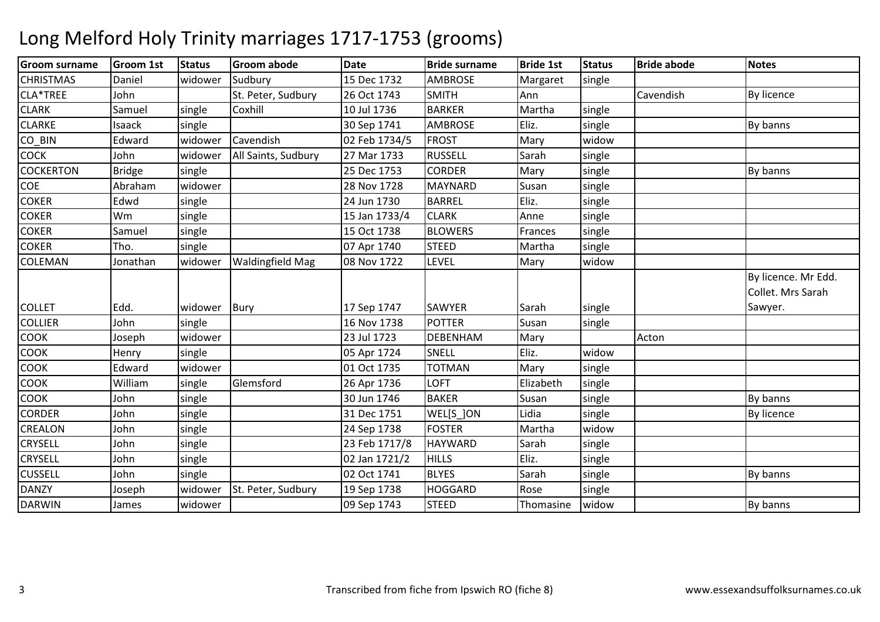### Groom surnamee |Groom 1st |Status |Groom abode | Date | Bride surname | Bride 1st | Status | Bride abode | Notes **CHRISTMAS**  Daniel widower Sudbury 15 Dec 173215 Dec 1732 AMBROSE Margaret single<br>26 Oct 1743 SMITH Ann CLA\*TREE JohnSt. Peter, Sudbury 26 Oct 1743 SMITH<br>
Single Coxhill 10 Jul 1736 BARKER H Ann Cavendish By licence CLARKK Samuel Single Coxhill 10 Jul 1736 BARKER BARKER Martha single<br>AMBROSE Eliz. single CLARKEIsaack single 30 Sep 1741 AMBROSE Eliz. single By banns CO\_BINN Edward widower Cavendish 102 Feb 1734/5 FROST Mary widow single **COCK** K John | widower | All Saints, Sudbury | 27 Mar 1733 | RUSSELL | Sarah | single COCKERTONN Bridge single 25 Dec 1753 CORDER Mary single By banns **COE** Abraham<br>Edwd m widower 28 Nov 1728 MAYNARD Susan single<br>And Susan Susan Susan Susan Susan Susan Susan Susan Susan Susan Susan Susan Susan Susan Susan Susan Susan Susa COKERR 1991 Edwd Single 1 24 Jun 1730 BARREL Eliz. Single COKER Wmm single 15 Jan 1733/4 CLARK Anne single<br>Anne single 15 Jan 1733/4 CLARK Anne single COKERR 15 Oct 1738 BLOWERS Frances single single COKERR Tho. Single 1 07 Apr 1740 STEED STEED Martha single<br>ILEVEL Mary widow COLEMANN Jonathan widower Waldingfield Mag 08 Nov 1722 LEVEL Mary widow COLLET Edd. widower Bury 17 Sep 1747 SAWYER Sarah singlesingle By licence. Mr Edd. Collet. Mrs Sarah Sawyer.COLLIERR John single 16 Nov 1738 POTTER Susan single COOK Joseph widower 23 Jul 1723 DEBENHAMM Mary Acton COOKK Henry Single 1 105 Apr 1724 SNELL Eliz. Widow N Mary single COOKK Edward widower 01 Oct 1735 TOTMAN COOK William single Glemsford 26 Apr 1736 LOFT Elizabeth single COOKK 30 Jun 1746 BAKER R Susan single By banns CORDERR John single 10 31 Dec 1751 WEL[S\_]ON N Lidia single By licence CREALONN John single 24 Sep 1738 FOSTER Martha widow D Sarah single CRYSELL Johnsingle 23 Feb 1717/8 HAYWARD<br>single 02 Jan 1721/2 HILLS CRYSELL Johnn single 1 02 Jan 1721/2 HILLS Eliz. Single CUSSELL Johnn single 1 102 Oct 1741 BLYES Sarah single Sarah single By banns DANZY Josephwidower St. Peter, Sudbury | 19 Sep 1738 | HOGGARD Rose single<br>Thomasine widow DARWINN 138 James Widower 1995 M 1743 STEED Thomasine Widow By banns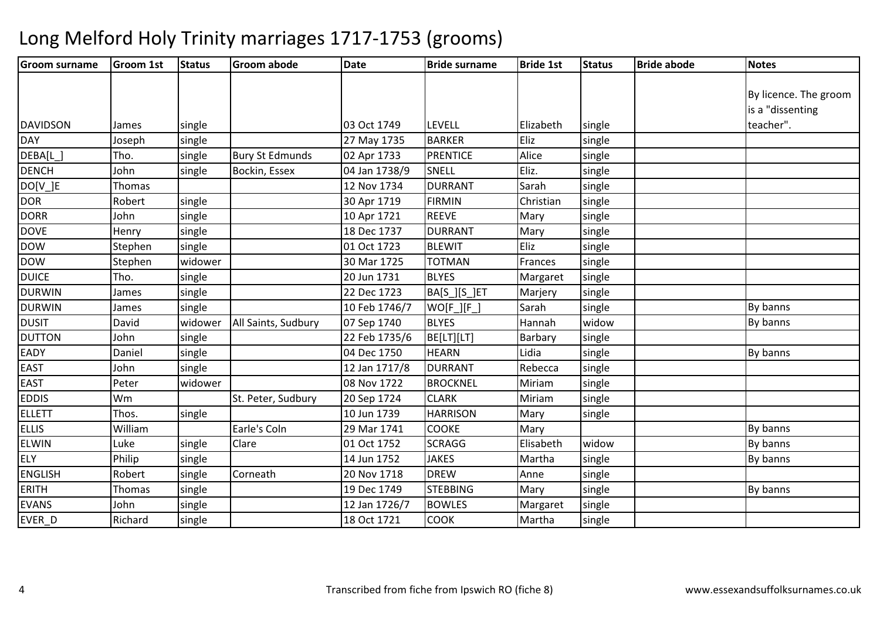| <b>Groom surname</b> | <b>Groom 1st</b> | <b>Status</b> | <b>Groom abode</b>     | <b>Date</b>   | <b>Bride surname</b> | <b>Bride 1st</b> | <b>Status</b> | <b>Bride abode</b> | <b>Notes</b>          |
|----------------------|------------------|---------------|------------------------|---------------|----------------------|------------------|---------------|--------------------|-----------------------|
|                      |                  |               |                        |               |                      |                  |               |                    |                       |
|                      |                  |               |                        |               |                      |                  |               |                    | By licence. The groom |
|                      |                  |               |                        |               |                      |                  |               |                    | is a "dissenting      |
| <b>DAVIDSON</b>      | James            | single        |                        | 03 Oct 1749   | <b>LEVELL</b>        | Elizabeth        | single        |                    | teacher".             |
| <b>DAY</b>           | Joseph           | single        |                        | 27 May 1735   | <b>BARKER</b>        | Eliz             | single        |                    |                       |
| DEBA[L_]             | Tho.             | single        | <b>Bury St Edmunds</b> | 02 Apr 1733   | <b>PRENTICE</b>      | Alice            | single        |                    |                       |
| <b>DENCH</b>         | John             | single        | Bockin, Essex          | 04 Jan 1738/9 | <b>SNELL</b>         | Eliz.            | single        |                    |                       |
| $DO[V_.]E$           | Thomas           |               |                        | 12 Nov 1734   | <b>DURRANT</b>       | Sarah            | single        |                    |                       |
| <b>DOR</b>           | Robert           | single        |                        | 30 Apr 1719   | <b>FIRMIN</b>        | Christian        | single        |                    |                       |
| <b>DORR</b>          | John             | single        |                        | 10 Apr 1721   | <b>REEVE</b>         | Mary             | single        |                    |                       |
| <b>DOVE</b>          | Henry            | single        |                        | 18 Dec 1737   | <b>DURRANT</b>       | Mary             | single        |                    |                       |
| <b>DOW</b>           | Stephen          | single        |                        | 01 Oct 1723   | <b>BLEWIT</b>        | Eliz             | single        |                    |                       |
| <b>DOW</b>           | Stephen          | widower       |                        | 30 Mar 1725   | <b>TOTMAN</b>        | Frances          | single        |                    |                       |
| <b>DUICE</b>         | Tho.             | single        |                        | 20 Jun 1731   | <b>BLYES</b>         | Margaret         | single        |                    |                       |
| <b>DURWIN</b>        | James            | single        |                        | 22 Dec 1723   | BA[S_][S_]ET         | Marjery          | single        |                    |                       |
| <b>DURWIN</b>        | James            | single        |                        | 10 Feb 1746/7 | $WO[F_][F_])$        | Sarah            | single        |                    | By banns              |
| <b>DUSIT</b>         | David            | widower       | All Saints, Sudbury    | 07 Sep 1740   | <b>BLYES</b>         | Hannah           | widow         |                    | By banns              |
| <b>DUTTON</b>        | John             | single        |                        | 22 Feb 1735/6 | BE[LT][LT]           | Barbary          | single        |                    |                       |
| <b>EADY</b>          | Daniel           | single        |                        | 04 Dec 1750   | <b>HEARN</b>         | Lidia            | single        |                    | By banns              |
| <b>EAST</b>          | John             | single        |                        | 12 Jan 1717/8 | <b>DURRANT</b>       | Rebecca          | single        |                    |                       |
| <b>EAST</b>          | Peter            | widower       |                        | 08 Nov 1722   | <b>BROCKNEL</b>      | Miriam           | single        |                    |                       |
| <b>EDDIS</b>         | Wm               |               | St. Peter, Sudbury     | 20 Sep 1724   | <b>CLARK</b>         | Miriam           | single        |                    |                       |
| <b>ELLETT</b>        | Thos.            | single        |                        | 10 Jun 1739   | <b>HARRISON</b>      | Mary             | single        |                    |                       |
| <b>ELLIS</b>         | William          |               | Earle's Coln           | 29 Mar 1741   | COOKE                | Mary             |               |                    | By banns              |
| <b>ELWIN</b>         | Luke             | single        | Clare                  | 01 Oct 1752   | <b>SCRAGG</b>        | Elisabeth        | widow         |                    | By banns              |
| <b>ELY</b>           | Philip           | single        |                        | 14 Jun 1752   | <b>JAKES</b>         | Martha           | single        |                    | By banns              |
| <b>ENGLISH</b>       | Robert           | single        | Corneath               | 20 Nov 1718   | <b>DREW</b>          | Anne             | single        |                    |                       |
| <b>ERITH</b>         | Thomas           | single        |                        | 19 Dec 1749   | <b>STEBBING</b>      | Mary             | single        |                    | By banns              |
| <b>EVANS</b>         | John             | single        |                        | 12 Jan 1726/7 | <b>BOWLES</b>        | Margaret         | single        |                    |                       |
| EVER D               | Richard          | single        |                        | 18 Oct 1721   | <b>COOK</b>          | Martha           | single        |                    |                       |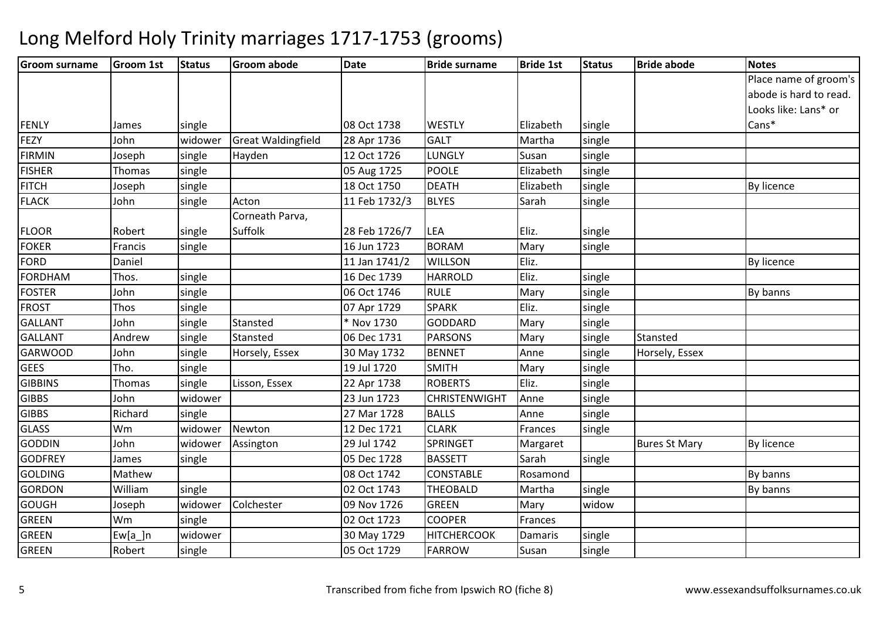| <b>Groom surname</b> | <b>Groom 1st</b> | <b>Status</b> | <b>Groom abode</b>        | <b>Date</b>   | <b>Bride surname</b> | <b>Bride 1st</b> | <b>Status</b> | <b>Bride abode</b>   | <b>Notes</b>           |
|----------------------|------------------|---------------|---------------------------|---------------|----------------------|------------------|---------------|----------------------|------------------------|
|                      |                  |               |                           |               |                      |                  |               |                      | Place name of groom's  |
|                      |                  |               |                           |               |                      |                  |               |                      | abode is hard to read. |
|                      |                  |               |                           |               |                      |                  |               |                      | Looks like: Lans* or   |
| <b>FENLY</b>         | lames            | single        |                           | 08 Oct 1738   | <b>WESTLY</b>        | Elizabeth        | single        |                      | Cans*                  |
| FEZY                 | John             | widower       | <b>Great Waldingfield</b> | 28 Apr 1736   | <b>GALT</b>          | Martha           | single        |                      |                        |
| <b>FIRMIN</b>        | Joseph           | single        | Hayden                    | 12 Oct 1726   | LUNGLY               | Susan            | single        |                      |                        |
| <b>FISHER</b>        | Thomas           | single        |                           | 05 Aug 1725   | <b>POOLE</b>         | Elizabeth        | single        |                      |                        |
| <b>FITCH</b>         | Joseph           | single        |                           | 18 Oct 1750   | <b>DEATH</b>         | Elizabeth        | single        |                      | By licence             |
| <b>FLACK</b>         | John             | single        | Acton                     | 11 Feb 1732/3 | <b>BLYES</b>         | Sarah            | single        |                      |                        |
|                      |                  |               | Corneath Parva,           |               |                      |                  |               |                      |                        |
| <b>FLOOR</b>         | Robert           | single        | Suffolk                   | 28 Feb 1726/7 | LEA                  | Eliz.            | single        |                      |                        |
| <b>FOKER</b>         | Francis          | single        |                           | 16 Jun 1723   | <b>BORAM</b>         | Mary             | single        |                      |                        |
| <b>FORD</b>          | Daniel           |               |                           | 11 Jan 1741/2 | <b>WILLSON</b>       | Eliz.            |               |                      | By licence             |
| <b>FORDHAM</b>       | Thos.            | single        |                           | 16 Dec 1739   | <b>HARROLD</b>       | Eliz.            | single        |                      |                        |
| <b>FOSTER</b>        | John             | single        |                           | 06 Oct 1746   | <b>RULE</b>          | Mary             | single        |                      | By banns               |
| <b>FROST</b>         | Thos             | single        |                           | 07 Apr 1729   | <b>SPARK</b>         | Eliz.            | single        |                      |                        |
| <b>GALLANT</b>       | John             | single        | Stansted                  | * Nov 1730    | <b>GODDARD</b>       | Mary             | single        |                      |                        |
| <b>GALLANT</b>       | Andrew           | single        | Stansted                  | 06 Dec 1731   | <b>PARSONS</b>       | Mary             | single        | Stansted             |                        |
| <b>GARWOOD</b>       | John             | single        | Horsely, Essex            | 30 May 1732   | <b>BENNET</b>        | Anne             | single        | Horsely, Essex       |                        |
| <b>GEES</b>          | Tho.             | single        |                           | 19 Jul 1720   | <b>SMITH</b>         | Mary             | single        |                      |                        |
| <b>GIBBINS</b>       | Thomas           | single        | Lisson, Essex             | 22 Apr 1738   | <b>ROBERTS</b>       | Eliz.            | single        |                      |                        |
| <b>GIBBS</b>         | John             | widower       |                           | 23 Jun 1723   | <b>CHRISTENWIGHT</b> | Anne             | single        |                      |                        |
| <b>GIBBS</b>         | Richard          | single        |                           | 27 Mar 1728   | <b>BALLS</b>         | Anne             | single        |                      |                        |
| <b>GLASS</b>         | Wm               | widower       | Newton                    | 12 Dec 1721   | <b>CLARK</b>         | Frances          | single        |                      |                        |
| <b>GODDIN</b>        | John             | widower       | Assington                 | 29 Jul 1742   | SPRINGET             | Margaret         |               | <b>Bures St Mary</b> | By licence             |
| <b>GODFREY</b>       | James            | single        |                           | 05 Dec 1728   | <b>BASSETT</b>       | Sarah            | single        |                      |                        |
| <b>GOLDING</b>       | Mathew           |               |                           | 08 Oct 1742   | CONSTABLE            | Rosamond         |               |                      | By banns               |
| <b>GORDON</b>        | William          | single        |                           | 02 Oct 1743   | <b>THEOBALD</b>      | Martha           | single        |                      | By banns               |
| <b>GOUGH</b>         | Joseph           | widower       | Colchester                | 09 Nov 1726   | <b>GREEN</b>         | Mary             | widow         |                      |                        |
| <b>GREEN</b>         | Wm               | single        |                           | 02 Oct 1723   | <b>COOPER</b>        | Frances          |               |                      |                        |
| <b>GREEN</b>         | $Ew[a_]n$        | widower       |                           | 30 May 1729   | <b>HITCHERCOOK</b>   | Damaris          | single        |                      |                        |
| <b>GREEN</b>         | Robert           | single        |                           | 05 Oct 1729   | <b>FARROW</b>        | Susan            | single        |                      |                        |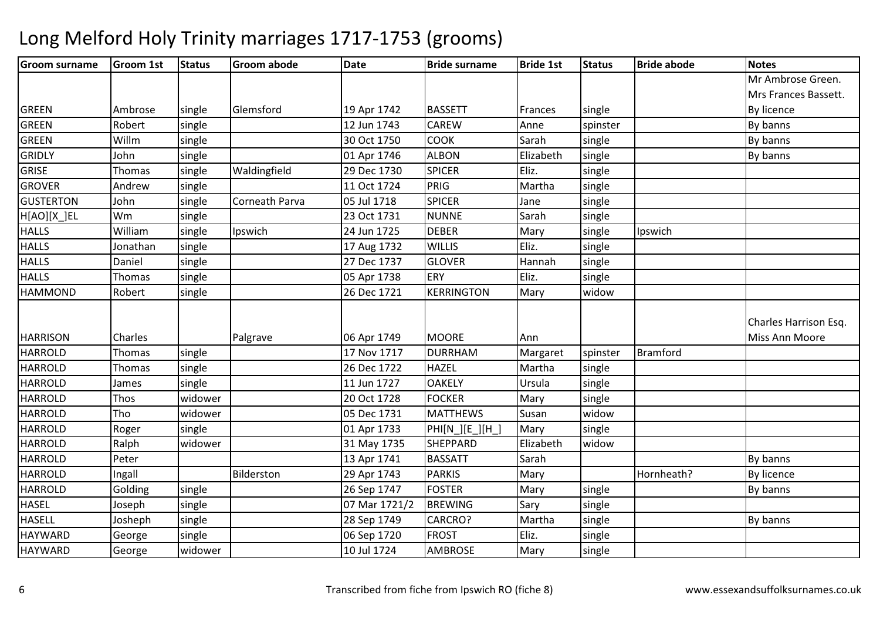| <b>Groom surname</b> | <b>Groom 1st</b> | <b>Status</b> | <b>Groom abode</b> | <b>Date</b>   | <b>Bride surname</b> | <b>Bride 1st</b> | <b>Status</b> | <b>Bride abode</b> | <b>Notes</b>          |
|----------------------|------------------|---------------|--------------------|---------------|----------------------|------------------|---------------|--------------------|-----------------------|
|                      |                  |               |                    |               |                      |                  |               |                    | Mr Ambrose Green.     |
|                      |                  |               |                    |               |                      |                  |               |                    | Mrs Frances Bassett.  |
| <b>GREEN</b>         | Ambrose          | single        | Glemsford          | 19 Apr 1742   | <b>BASSETT</b>       | Frances          | single        |                    | By licence            |
| <b>GREEN</b>         | Robert           | single        |                    | 12 Jun 1743   | CAREW                | Anne             | spinster      |                    | By banns              |
| <b>GREEN</b>         | Willm            | single        |                    | 30 Oct 1750   | <b>COOK</b>          | Sarah            | single        |                    | By banns              |
| <b>GRIDLY</b>        | John             | single        |                    | 01 Apr 1746   | <b>ALBON</b>         | Elizabeth        | single        |                    | By banns              |
| <b>GRISE</b>         | Thomas           | single        | Waldingfield       | 29 Dec 1730   | <b>SPICER</b>        | Eliz.            | single        |                    |                       |
| <b>GROVER</b>        | Andrew           | single        |                    | 11 Oct 1724   | <b>PRIG</b>          | Martha           | single        |                    |                       |
| <b>GUSTERTON</b>     | John             | single        | Corneath Parva     | 05 Jul 1718   | <b>SPICER</b>        | Jane             | single        |                    |                       |
| H[AO][X_]EL          | Wm               | single        |                    | 23 Oct 1731   | <b>NUNNE</b>         | Sarah            | single        |                    |                       |
| <b>HALLS</b>         | William          | single        | Ipswich            | 24 Jun 1725   | <b>DEBER</b>         | Mary             | single        | Ipswich            |                       |
| <b>HALLS</b>         | Jonathan         | single        |                    | 17 Aug 1732   | <b>WILLIS</b>        | Eliz.            | single        |                    |                       |
| <b>HALLS</b>         | Daniel           | single        |                    | 27 Dec 1737   | <b>GLOVER</b>        | Hannah           | single        |                    |                       |
| <b>HALLS</b>         | Thomas           | single        |                    | 05 Apr 1738   | ERY                  | Eliz.            | single        |                    |                       |
| <b>HAMMOND</b>       | Robert           | single        |                    | 26 Dec 1721   | <b>KERRINGTON</b>    | Mary             | widow         |                    |                       |
|                      |                  |               |                    |               |                      |                  |               |                    | Charles Harrison Esq. |
| <b>HARRISON</b>      | Charles          |               | Palgrave           | 06 Apr 1749   | <b>MOORE</b>         | Ann              |               |                    | Miss Ann Moore        |
| <b>HARROLD</b>       | Thomas           | single        |                    | 17 Nov 1717   | <b>DURRHAM</b>       | Margaret         | spinster      | <b>Bramford</b>    |                       |
| <b>HARROLD</b>       | Thomas           | single        |                    | 26 Dec 1722   | <b>HAZEL</b>         | Martha           | single        |                    |                       |
| <b>HARROLD</b>       | James            | single        |                    | 11 Jun 1727   | <b>OAKELY</b>        | Ursula           | single        |                    |                       |
| <b>HARROLD</b>       | Thos             | widower       |                    | 20 Oct 1728   | <b>FOCKER</b>        | Mary             | single        |                    |                       |
| <b>HARROLD</b>       | Tho              | widower       |                    | 05 Dec 1731   | <b>MATTHEWS</b>      | Susan            | widow         |                    |                       |
| <b>HARROLD</b>       | Roger            | single        |                    | 01 Apr 1733   | PHI[N_][E_][H_]      | Mary             | single        |                    |                       |
| <b>HARROLD</b>       | Ralph            | widower       |                    | 31 May 1735   | <b>SHEPPARD</b>      | Elizabeth        | widow         |                    |                       |
| <b>HARROLD</b>       | Peter            |               |                    | 13 Apr 1741   | <b>BASSATT</b>       | Sarah            |               |                    | By banns              |
| <b>HARROLD</b>       | Ingall           |               | Bilderston         | 29 Apr 1743   | <b>PARKIS</b>        | Mary             |               | Hornheath?         | By licence            |
| <b>HARROLD</b>       | Golding          | single        |                    | 26 Sep 1747   | <b>FOSTER</b>        | Mary             | single        |                    | By banns              |
| <b>HASEL</b>         | Joseph           | single        |                    | 07 Mar 1721/2 | <b>BREWING</b>       | Sary             | single        |                    |                       |
| <b>HASELL</b>        | Josheph          | single        |                    | 28 Sep 1749   | CARCRO?              | Martha           | single        |                    | By banns              |
| <b>HAYWARD</b>       | George           | single        |                    | 06 Sep 1720   | <b>FROST</b>         | Eliz.            | single        |                    |                       |
| <b>HAYWARD</b>       | George           | widower       |                    | 10 Jul 1724   | <b>AMBROSE</b>       | Mary             | single        |                    |                       |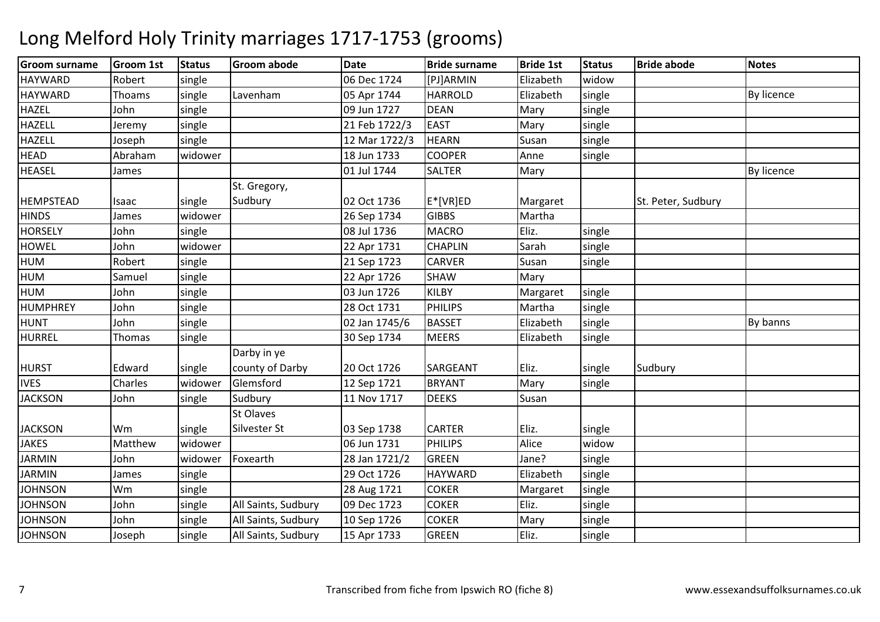### Groom surnamee |Groom 1st |Status |Groom abode | Date | Bride surname | Bride 1st | Status | Bride abode | Notes **HAYWARD** D Robert single 06 Dec 1724 [PJ]ARMIN Elizabeth widowsingle **HAYWARD** Thoams single Lavenham<br>John single m 195 Apr 1744 | HARROLD | Elizabeth | single | Santa By licence | By licence | By licence | By licence | By licence | By licence | By licence | By licence | By licence | By licence | By licence | By licence | By licence | HAZEL Johnn | single | 199 Jun 1727 | DEAN N Mary single HAZELL Jeremy single 21 Feb 1722/33 EAST Mary Single HAZELL Josephsingle 12 Mar 1722/3 HEARN<br>widower 18 Jun 1733 COOPER Susan single<br>Anne single **HEAD** Abraham<br>James m widower 18 Jun 1733 COOPER Anne single<br>Anne single HEASELL James 1990 | 1990 | 1991 | 1744 01 Jul 1744 SALTER R Mary Mary By licence HEMPSTEAD Isaac Isingle widower St. Gregory, Sudbury02 Oct 1736 E<sup>\*</sup>[VR]ED Margaret St. Peter, Sudbury **HINDS** James | widower | | 26 Sep 1734 |GIBBS Martha<br>|MACRO Eliz. **HORSELY**  Johnn single 1 08 Jul 1736 MACRO MACRO Eliz. Single<br>CHAPLIN Sarah single **HOWEL**  John widower 22 Apr 1731 CHAPLINSarah single<br>Susan single HUMM Robert single 21 Sep 1723 CARVER Susan single<br>M Robert single 21 Sep 1723 CARVER Susan single HUM Samuel single 22 Apr 1726 SHAWSHAW Mary<br>KILBY Margaret HUMM 10hn single 103 Jun 1726 KILBY Margaret single<br>Margaret 1.1 1.1 1.1 1.1 1.1 1.200 1.1734 BUWIPS MALL 1.1 1.1 **HUMPHREY**  Johnn single 28 Oct 1731 PHILIPS Martha single HUNT Johnn single 1 By banns 1745/6 BASSET Elizabeth single Burn By banns **HURREL** Thomas single 30 Sep 1734MEERS **Elizabeth**  single HURST Edward Single widower Darby in ye county of Darbyy 20 Oct 1726 SARGEANT Eliz. Single Sudbury IVESCharles Iwidower Glemsford 12 Sep 1721 BRYANT Mary single<br>11 Nov 1717 DEEKS Susan **JACKSON** N John single Sudbury 11 Nov 1717 DEEKS Susan JACKSON Wm single widower St Olaves Silvester St $\begin{array}{ccc} \n\boxed{03}$  Sep 1738  $\begin{array}{ccc} \n\boxed{CARTER} & \n\end{array}$  Eliz.  $\begin{array}{ccc} \n\boxed{single} \n\end{array}$ widow JAKES Mattheww widower 06 Jun 1731 PHILIPS Alice widow<br>Alice widow JARMINN John widower Foxearth 28 Jan 1721/2 GREEN Jane? single JARMINN James single 29 Oct 1726 HAYWARD Elizabeth single **JOHNSON** Wm<br>John m 
single 28 Aug 1721 COKER Margaret single<br>
28 Aug 1721 COKER Margaret single **JOHNSON** N John Single All Saints, Sudbury 09 Dec 1723 COKER Eliz. Single **JOHNSON** N John single All Saints, Sudbury 10 Sep 1726 COKER Mary single **JOHNSON** N 1995 and Single All Saints, Sudbury 15 Apr 1733 GREEN Fliz. Single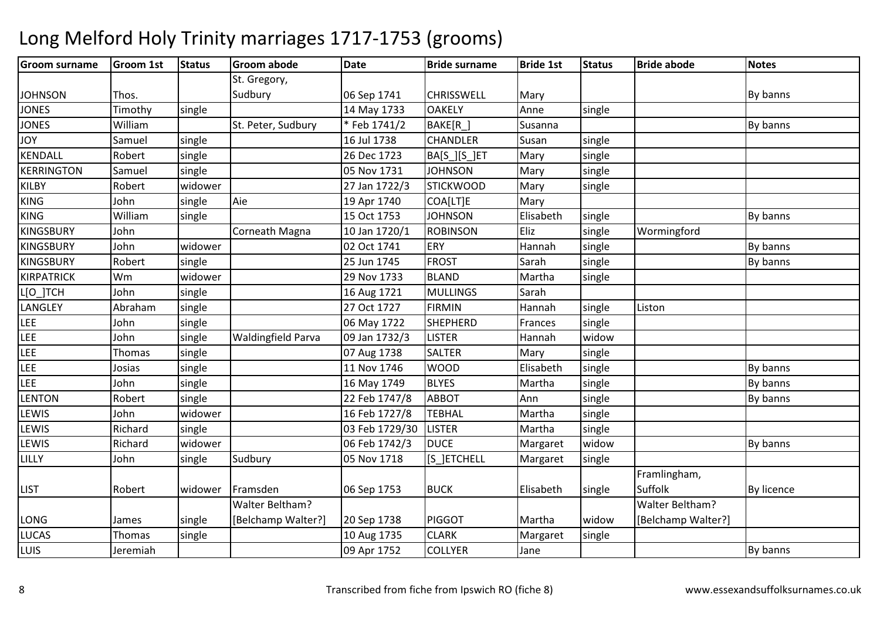### Groom surnamee |Groom 1st |Status |Groom abode | Date | Bride surname | Bride 1st | Status | Bride abode | Notes JOHNSON Thos. St. Gregory, Sudbury06 Sep 1741 | CHRISSWELL | Mary By banns JONESTimothy single 14 May 17333 OAKELY Anne single JONES Williamm St. Peter, Sudbury \* Feb 1741/2 BAKE[R\_] Susanna Susanna By banns JOYSamuel single 16 Jul 1738**CHANDLER** Susan single **KFNDALL** Robert single 26 Dec 1723BA[S\_][S\_]ET Mary single<br>JOHNSON Mary single KERRINGTONN Samuel single 1 105 Nov 1731 JOHNSON Mary single KILBYRobert widower 27 Jan 1722/3<br>John single Aie 19 Apr 1740 STICKWOOD Mary single<br>Mary KINGG 19 Apr 1740 COA[LT]E Mary KING William single 15 Oct 1753 JOHNSON Elisabeth single By banns KINGSBURY JohnCorneath Magna 10 Jan 1720/1 ROBINSON<br>02 Oct 1741 ERY Eliz single Wormingford<br>Hannah single KINGSBURY Johnn widower 02 Oct 1741 ERY Hannah single By banns KINGSBURYRobert single 25 Jun 1745 FROST Sarahsingle | By banns KIRPATRICK Wm widower 29 Nov 1733 BLAND Martha single L[O\_]TCH H John single 16 Aug 1721 MULLINGS Sarah LANGLEY Abrahamm single 27 Oct 1727 FIRMIN Hannah single Liston<br>And Single Liston LEE Johnsingle 
1998 | 16 May 1722 SHEPHERD<br>
Single Waldingfield Parva | 09 Jan 1732/3 LISTER Frances single<br>Hannah widow LEE Johnsingle Waldingfield Parva Hannah single LEEThomas single 07 Aug 1738**SALTER** Mary LEEJosias single 11 Nov 1746<br>16 May 1749 WOOD<br>BLYES D By banns LEEJohn<br>Robert n single 16 May 1749 BLYES Martha single Single By banns **LENTON** N Robert single 22 Feb 1747/8 ABBOT Ann single By banns LEWIS Johnn widower 16 Feb 1727/8 TEBHAL Martha single **LEWIS**  Richard single 03 Feb 1729/30 LISTERLISTER Martha Single<br>Nargaret Widow Margaret Widow LEWIS Richardd widower 06 Feb 1742/3 DUCE Margaret widow widow By banns<br>single LILLY Johnn single Sudbury 05 Nov 1718 [S\_]ETCHELL Margaret single LIST Robert widower Framsden 06 Sep 1753 BUCK Elisabeth singleFramlingham, Suffolk By licence LONG James single Walter Beltham? [Belchamp Walter?]20 Sep 1738 | PIGGOT | Martha | widow single Walter Beltham? [Belchamp Walter?]LUCASThomas single 10 Aug 1735**CLARK**<br>COLLYER Margaret LUIS Jeremiah09 Apr 1752 Jane By banns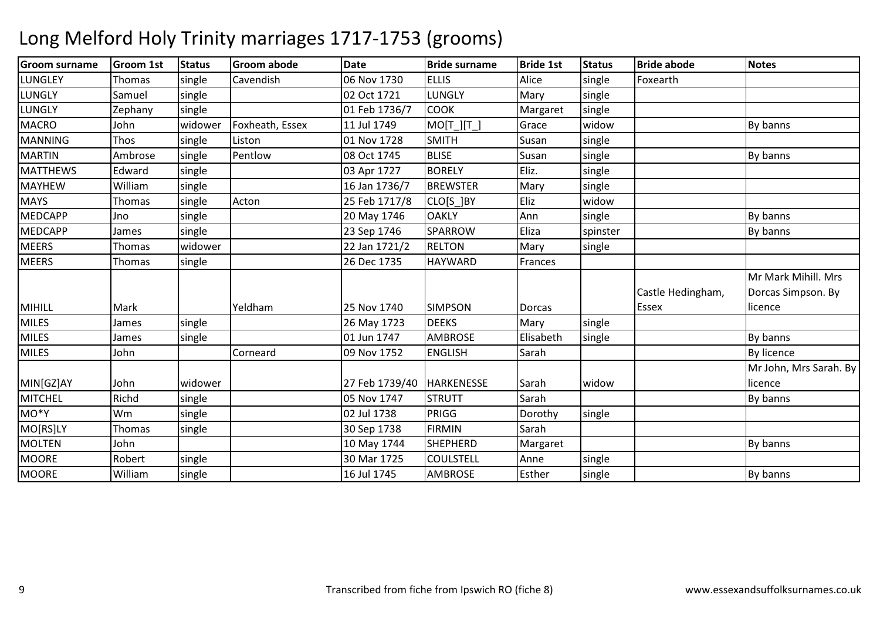| <b>Groom surname</b> | <b>Groom 1st</b> | <b>Status</b> | Groom abode     | Date           | <b>Bride surname</b> | <b>Bride 1st</b> | <b>Status</b> | <b>Bride abode</b> | <b>Notes</b>           |
|----------------------|------------------|---------------|-----------------|----------------|----------------------|------------------|---------------|--------------------|------------------------|
| <b>LUNGLEY</b>       | Thomas           | single        | Cavendish       | 06 Nov 1730    | <b>ELLIS</b>         | Alice            | single        | Foxearth           |                        |
| LUNGLY               | Samuel           | single        |                 | 02 Oct 1721    | LUNGLY               | Mary             | single        |                    |                        |
| <b>LUNGLY</b>        | Zephany          | single        |                 | 01 Feb 1736/7  | <b>COOK</b>          | Margaret         | single        |                    |                        |
| <b>MACRO</b>         | John             | widower       | Foxheath, Essex | 11 Jul 1749    | $MO[T_][T_$          | Grace            | widow         |                    | By banns               |
| <b>MANNING</b>       | Thos             | single        | Liston          | 01 Nov 1728    | <b>SMITH</b>         | Susan            | single        |                    |                        |
| <b>MARTIN</b>        | Ambrose          | single        | Pentlow         | 08 Oct 1745    | <b>BLISE</b>         | Susan            | single        |                    | By banns               |
| <b>MATTHEWS</b>      | Edward           | single        |                 | 03 Apr 1727    | <b>BORELY</b>        | Eliz.            | single        |                    |                        |
| <b>MAYHEW</b>        | William          | single        |                 | 16 Jan 1736/7  | <b>BREWSTER</b>      | Mary             | single        |                    |                        |
| <b>MAYS</b>          | Thomas           | single        | Acton           | 25 Feb 1717/8  | CLO[S_]BY            | Eliz             | widow         |                    |                        |
| <b>MEDCAPP</b>       | Jno              | single        |                 | 20 May 1746    | <b>OAKLY</b>         | Ann              | single        |                    | By banns               |
| <b>MEDCAPP</b>       | James            | single        |                 | 23 Sep 1746    | SPARROW              | Eliza            | spinster      |                    | By banns               |
| <b>MEERS</b>         | Thomas           | widower       |                 | 22 Jan 1721/2  | <b>RELTON</b>        | Mary             | single        |                    |                        |
| <b>MEERS</b>         | Thomas           | single        |                 | 26 Dec 1735    | <b>HAYWARD</b>       | Frances          |               |                    |                        |
|                      |                  |               |                 |                |                      |                  |               |                    | Mr Mark Mihill. Mrs    |
|                      |                  |               |                 |                |                      |                  |               | Castle Hedingham,  | Dorcas Simpson. By     |
| <b>MIHILL</b>        | Mark             |               | Yeldham         | 25 Nov 1740    | <b>SIMPSON</b>       | <b>Dorcas</b>    |               | <b>Essex</b>       | licence                |
| <b>MILES</b>         | James            | single        |                 | 26 May 1723    | <b>DEEKS</b>         | Mary             | single        |                    |                        |
| <b>MILES</b>         | James            | single        |                 | 01 Jun 1747    | <b>AMBROSE</b>       | Elisabeth        | single        |                    | By banns               |
| <b>MILES</b>         | John             |               | Corneard        | 09 Nov 1752    | <b>ENGLISH</b>       | Sarah            |               |                    | <b>By licence</b>      |
|                      |                  |               |                 |                |                      |                  |               |                    | Mr John, Mrs Sarah. By |
| MIN[GZ]AY            | John             | widower       |                 | 27 Feb 1739/40 | <b>HARKENESSE</b>    | Sarah            | widow         |                    | licence                |
| <b>MITCHEL</b>       | Richd            | single        |                 | 05 Nov 1747    | <b>STRUTT</b>        | Sarah            |               |                    | By banns               |
| MO*Y                 | Wm               | single        |                 | 02 Jul 1738    | PRIGG                | Dorothy          | single        |                    |                        |
| MO[RS]LY             | Thomas           | single        |                 | 30 Sep 1738    | <b>FIRMIN</b>        | Sarah            |               |                    |                        |
| <b>MOLTEN</b>        | John             |               |                 | 10 May 1744    | <b>SHEPHERD</b>      | Margaret         |               |                    | By banns               |
| <b>MOORE</b>         | Robert           | single        |                 | 30 Mar 1725    | <b>COULSTELL</b>     | Anne             | single        |                    |                        |
| <b>MOORE</b>         | William          | single        |                 | 16 Jul 1745    | <b>AMBROSE</b>       | Esther           | single        |                    | By banns               |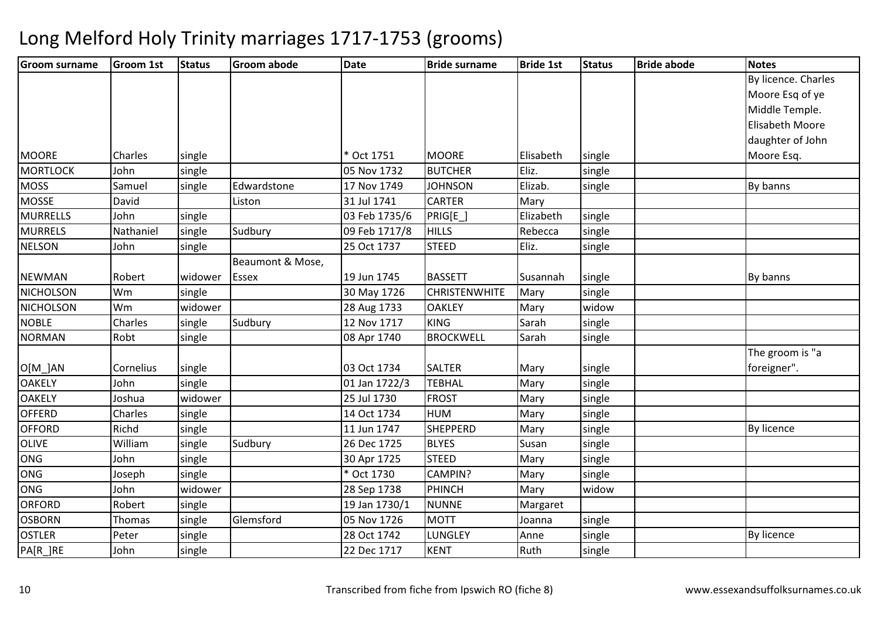| <b>Groom surname</b> | <b>Groom 1st</b> | <b>Status</b> | <b>Groom abode</b> | <b>Date</b>   | <b>Bride surname</b> | <b>Bride 1st</b> | <b>Status</b> | <b>Bride abode</b> | <b>Notes</b>        |
|----------------------|------------------|---------------|--------------------|---------------|----------------------|------------------|---------------|--------------------|---------------------|
|                      |                  |               |                    |               |                      |                  |               |                    | By licence. Charles |
|                      |                  |               |                    |               |                      |                  |               |                    | Moore Esq of ye     |
|                      |                  |               |                    |               |                      |                  |               |                    | Middle Temple.      |
|                      |                  |               |                    |               |                      |                  |               |                    | Elisabeth Moore     |
|                      |                  |               |                    |               |                      |                  |               |                    | daughter of John    |
| <b>MOORE</b>         | Charles          | single        |                    | * Oct 1751    | <b>MOORE</b>         | Elisabeth        | single        |                    | Moore Esq.          |
| <b>MORTLOCK</b>      | John             | single        |                    | 05 Nov 1732   | <b>BUTCHER</b>       | Eliz.            | single        |                    |                     |
| <b>MOSS</b>          | Samuel           | single        | Edwardstone        | 17 Nov 1749   | <b>JOHNSON</b>       | Elizab.          | single        |                    | By banns            |
| <b>MOSSE</b>         | David            |               | Liston             | 31 Jul 1741   | <b>CARTER</b>        | Mary             |               |                    |                     |
| <b>MURRELLS</b>      | John             | single        |                    | 03 Feb 1735/6 | PRIG[E_]             | Elizabeth        | single        |                    |                     |
| <b>MURRELS</b>       | Nathaniel        | single        | Sudbury            | 09 Feb 1717/8 | <b>HILLS</b>         | Rebecca          | single        |                    |                     |
| <b>NELSON</b>        | John             | single        |                    | 25 Oct 1737   | <b>STEED</b>         | Eliz.            | single        |                    |                     |
|                      |                  |               | Beaumont & Mose,   |               |                      |                  |               |                    |                     |
| <b>NEWMAN</b>        | Robert           | widower       | Essex              | 19 Jun 1745   | <b>BASSETT</b>       | Susannah         | single        |                    | By banns            |
| <b>NICHOLSON</b>     | Wm               | single        |                    | 30 May 1726   | <b>CHRISTENWHITE</b> | Mary             | single        |                    |                     |
| <b>NICHOLSON</b>     | Wm               | widower       |                    | 28 Aug 1733   | <b>OAKLEY</b>        | Mary             | widow         |                    |                     |
| <b>NOBLE</b>         | Charles          | single        | Sudbury            | 12 Nov 1717   | <b>KING</b>          | Sarah            | single        |                    |                     |
| <b>NORMAN</b>        | Robt             | single        |                    | 08 Apr 1740   | <b>BROCKWELL</b>     | Sarah            | single        |                    |                     |
|                      |                  |               |                    |               |                      |                  |               |                    | The groom is "a     |
| $O[M_$ $AN$          | Cornelius        | single        |                    | 03 Oct 1734   | <b>SALTER</b>        | Mary             | single        |                    | foreigner".         |
| <b>OAKELY</b>        | John             | single        |                    | 01 Jan 1722/3 | <b>TEBHAL</b>        | Mary             | single        |                    |                     |
| <b>OAKELY</b>        | Joshua           | widower       |                    | 25 Jul 1730   | <b>FROST</b>         | Mary             | single        |                    |                     |
| <b>OFFERD</b>        | Charles          | single        |                    | 14 Oct 1734   | <b>HUM</b>           | Mary             | single        |                    |                     |
| <b>OFFORD</b>        | Richd            | single        |                    | 11 Jun 1747   | <b>SHEPPERD</b>      | Mary             | single        |                    | By licence          |
| OLIVE                | William          | single        | Sudbury            | 26 Dec 1725   | <b>BLYES</b>         | Susan            | single        |                    |                     |
| ONG                  | John             | single        |                    | 30 Apr 1725   | <b>STEED</b>         | Mary             | single        |                    |                     |
| ONG                  | Joseph           | single        |                    | * Oct 1730    | CAMPIN?              | Mary             | single        |                    |                     |
| <b>ONG</b>           | John             | widower       |                    | 28 Sep 1738   | <b>PHINCH</b>        | Mary             | widow         |                    |                     |
| ORFORD               | Robert           | single        |                    | 19 Jan 1730/1 | <b>NUNNE</b>         | Margaret         |               |                    |                     |
| <b>OSBORN</b>        | Thomas           | single        | Glemsford          | 05 Nov 1726   | <b>MOTT</b>          | Joanna           | single        |                    |                     |
| <b>OSTLER</b>        | Peter            | single        |                    | 28 Oct 1742   | LUNGLEY              | Anne             | single        |                    | By licence          |
| PA[R_]RE             | John             | single        |                    | 22 Dec 1717   | <b>KENT</b>          | Ruth             | single        |                    |                     |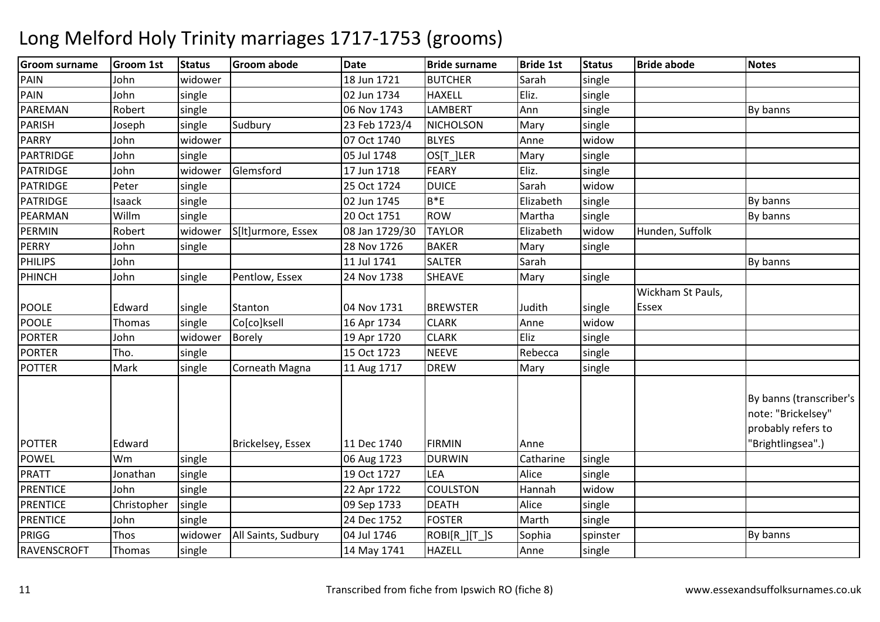| <b>Groom surname</b> | <b>Groom 1st</b>    | <b>Status</b> | <b>Groom abode</b>  | <b>Date</b>    | <b>Bride surname</b> | <b>Bride 1st</b> | <b>Status</b>   | <b>Bride abode</b> | <b>Notes</b>                                                                             |
|----------------------|---------------------|---------------|---------------------|----------------|----------------------|------------------|-----------------|--------------------|------------------------------------------------------------------------------------------|
| PAIN                 | John                | widower       |                     | 18 Jun 1721    | <b>BUTCHER</b>       | Sarah            | single          |                    |                                                                                          |
| PAIN                 | John                | single        |                     | 02 Jun 1734    | <b>HAXELL</b>        | Eliz.            | single          |                    |                                                                                          |
| PAREMAN              | Robert              | single        |                     | 06 Nov 1743    | <b>LAMBERT</b>       | Ann              | single          |                    | By banns                                                                                 |
| <b>PARISH</b>        | Joseph              | single        | Sudbury             | 23 Feb 1723/4  | <b>NICHOLSON</b>     | Mary             | single          |                    |                                                                                          |
| <b>PARRY</b>         | John                | widower       |                     | 07 Oct 1740    | <b>BLYES</b>         | Anne             | widow           |                    |                                                                                          |
| PARTRIDGE            | John                | single        |                     | 05 Jul 1748    | OS[T_]LER            | Mary             | single          |                    |                                                                                          |
| PATRIDGE             | John                | widower       | Glemsford           | 17 Jun 1718    | <b>FEARY</b>         | Eliz.            | single          |                    |                                                                                          |
| <b>PATRIDGE</b>      | Peter               | single        |                     | 25 Oct 1724    | <b>DUICE</b>         | Sarah            | widow           |                    |                                                                                          |
| <b>PATRIDGE</b>      | Isaack              | single        |                     | 02 Jun 1745    | $B*E$                | Elizabeth        | single          |                    | By banns                                                                                 |
| PEARMAN              | Willm               | single        |                     | 20 Oct 1751    | <b>ROW</b>           | Martha           | single          |                    | By banns                                                                                 |
| <b>PERMIN</b>        | Robert              | widower       | S[It]urmore, Essex  | 08 Jan 1729/30 | <b>TAYLOR</b>        | Elizabeth        | widow           | Hunden, Suffolk    |                                                                                          |
| <b>PERRY</b>         | John                | single        |                     | 28 Nov 1726    | <b>BAKER</b>         | Mary             | single          |                    |                                                                                          |
| PHILIPS              | John                |               |                     | 11 Jul 1741    | <b>SALTER</b>        | Sarah            |                 |                    | By banns                                                                                 |
| <b>PHINCH</b>        | John                | single        | Pentlow, Essex      | 24 Nov 1738    | <b>SHEAVE</b>        | Mary             | single          |                    |                                                                                          |
|                      |                     |               |                     |                |                      |                  |                 | Wickham St Pauls,  |                                                                                          |
| <b>POOLE</b>         | Edward              | single        | Stanton             | 04 Nov 1731    | <b>BREWSTER</b>      | Judith           | single          | Essex              |                                                                                          |
| <b>POOLE</b>         | Thomas              | single        | Co[co]ksell         | 16 Apr 1734    | <b>CLARK</b>         | Anne             | widow           |                    |                                                                                          |
| <b>PORTER</b>        | John                | widower       | <b>Borely</b>       | 19 Apr 1720    | <b>CLARK</b>         | Eliz             | single          |                    |                                                                                          |
| <b>PORTER</b>        | Tho.                | single        |                     | 15 Oct 1723    | <b>NEEVE</b>         | Rebecca          | single          |                    |                                                                                          |
| <b>POTTER</b>        | Mark                | single        | Corneath Magna      | 11 Aug 1717    | <b>DREW</b>          | Mary             | single          |                    |                                                                                          |
| <b>POTTER</b>        | Edward              |               | Brickelsey, Essex   | 11 Dec 1740    | <b>FIRMIN</b>        | Anne             |                 |                    | By banns (transcriber's<br>note: "Brickelsey"<br>probably refers to<br>'Brightlingsea".) |
| <b>POWEL</b>         | Wm                  | single        |                     | 06 Aug 1723    | <b>DURWIN</b>        | Catharine        | single          |                    |                                                                                          |
| <b>PRATT</b>         | Jonathan            | single        |                     | 19 Oct 1727    | <b>LEA</b>           | Alice            |                 |                    |                                                                                          |
| <b>PRENTICE</b>      | John                |               |                     |                | <b>COULSTON</b>      | Hannah           | single<br>widow |                    |                                                                                          |
| <b>PRENTICE</b>      |                     | single        |                     | 22 Apr 1722    | <b>DEATH</b>         | Alice            |                 |                    |                                                                                          |
|                      | Christopher<br>John | single        |                     | 09 Sep 1733    | <b>FOSTER</b>        | Marth            | single          |                    |                                                                                          |
| <b>PRENTICE</b>      |                     | single        |                     | 24 Dec 1752    |                      |                  | single          |                    |                                                                                          |
| PRIGG                | Thos                | widower       | All Saints, Sudbury | 04 Jul 1746    | ROBI[R_][T_]S        | Sophia           | spinster        |                    | By banns                                                                                 |
| RAVENSCROFT          | Thomas              | single        |                     | 14 May 1741    | <b>HAZELL</b>        | Anne             | single          |                    |                                                                                          |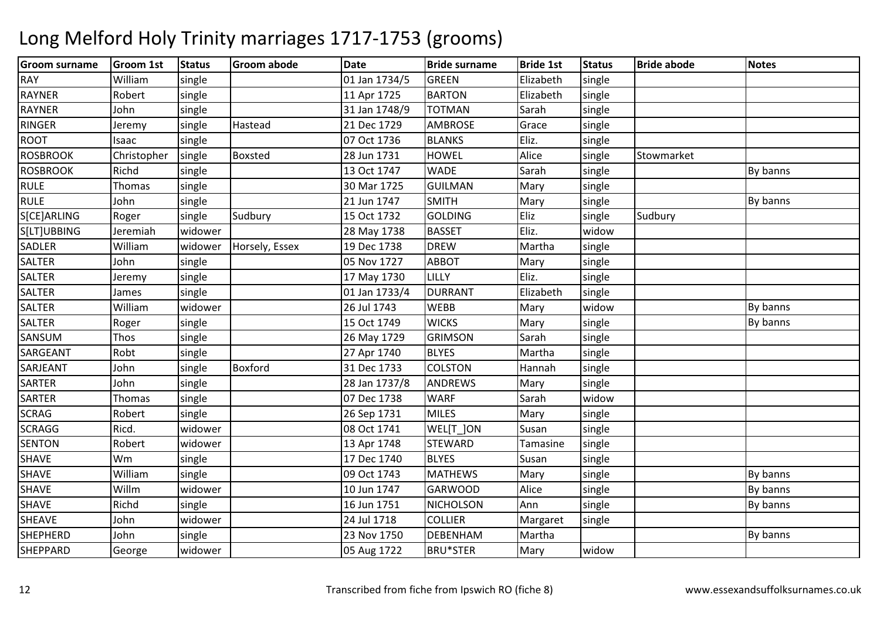### Groom surnamee |Groom 1st |Status |Groom abode | Date | Bride surname | Bride 1st | Status | Bride abode | Notes RAY Williamm single 01 Jan 1734/5 GREEN Elizabeth single<br>And the state of the state of the state of the state of the state of the state of the state of the state of th RAYNERR Robert single 11 Apr 1725 BARTON BARTON Elizabeth single<br>TOTMAN Sarah single RAYNERR John single 31 Jan 1748/9 TOTMAN **TOTMAN** Sarah single<br> **AMBROSE** Grace single RINGERR MINDISTRESS Determines and the Hastead 21 Dec 1729 AMBROSE Grace single ROOTIsaac single<br>Christopher single 07 Oct 17366 BLANKS Eliz. Single ROSBROOKK Christopher single Boxsted 28 Jun 1731 HOWEL Alice single Stowmarket ROSBROOKK Richd single 13 Oct 1747 WADE Sarah single By banns RULE $Thomas$  single 30 Mar 1725GUILMAN<br>SMITH Mary single<br>Mary single RULE John single 21 Jun 1747 SMITHH Mary single **By banns SICEIARLING** G Roger Single Sudbury 15 Oct 1732 GOLDING Eliz single Sudbury S[LT]UBBING Jeremiah widower 28 May 1738 BASSET Eliz. widowsingle SADLERWilliam<br>John widower Horsely, Essex 19 Dec 1738 DREW<br>single 105 Nov 1727 ABBOT Martha single<br>Mary single **SALTER** R 100 | Single 1 | 105 Nov 1727 | ABBOT | Mary | single SALTERR 17 Deremy Single 2018 17 May 1730 LILLY Eliz. Single SALTERR 1991 James Single 1988 and 1733/4 DURRANT Elizabeth single SALTERWilliam<br>Roger m | widower | 26 Jul 1743 | WEBB | Mary | widow | New By banns<br>And Line Line Line Discovery | Mary | Widow | Mary | By banns SALTERR Roger single 15 Oct 1749 WICKS Mary single By banns SANSUMM Thos single 26 May 1729 GRIMSON Sarah single<br>27.1 Sarah single 27.1 1710 DIVEC 2011 MAJU LI SARGEANTRobt single 27 Apr 17400 BLYES Martha Single SARJEANT Johnsingle Boxford 31 Dec 1733 COLSTON<br>single 38 Jan 1737/8 ANDREWS Hannah single<br>Mary single SARTERR John single 28 Jan 1737/8 ANDREWS Mary single SARTERR Thomas single 1 07 Dec 1738 WARF Sarah widow single SCRAGG Robert single 26 Sep 1731 MILES Mary single SCRAGGG Ricd. Widower 08 Oct 1741 WEL[T\_]ON | WEL[T\_]ON Susan single<br>| STEWARD Tamasine single **SENTON** N Robert widower 13 Apr 1748 STEWARD Tamasine single SHAVE Wm single 17 Dec 1740 BLYES Susan single SHAVE Williamm | single | 09 Oct 1743 | MATHEWS | Mary | single | Development By banns<br>| development | single By banns | single | single | Development | single | September | single | September | S SHAVE Willmm widower 10 Jun 1747 GARWOOD Alice single By banns<br>The By banns SHAVE Richdd single 16 Jun 1751 NICHOLSON N Ann single By banns SHEAVE Johnn widower 24 Jul 1718 COLLIER COLLIER Margaret single<br>DEBENHAM Martha **SHEPHERD** D John single 23 Nov 1750 DEBENHAM M Martha Luccal By banns<br>Notes and the set of the set of the set of the By banns SHEPPARDD George widower 05 Aug 1722 BRU\*STER Mary widow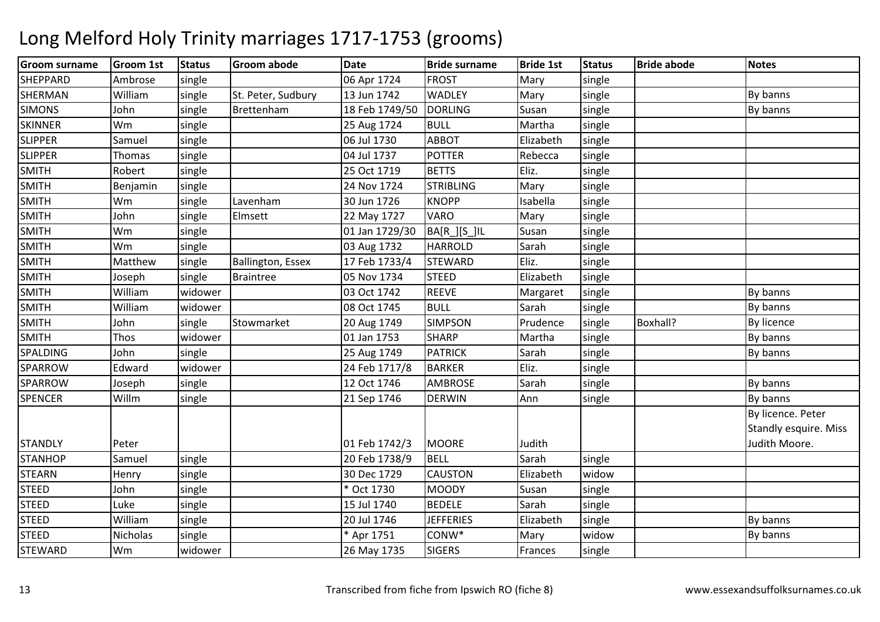| <b>Groom surname</b> | <b>Groom 1st</b> | <b>Status</b> | <b>Groom abode</b>       | <b>Date</b>    | <b>Bride surname</b> | <b>Bride 1st</b> | <b>Status</b> | <b>Bride abode</b> | <b>Notes</b>                 |
|----------------------|------------------|---------------|--------------------------|----------------|----------------------|------------------|---------------|--------------------|------------------------------|
| <b>SHEPPARD</b>      | Ambrose          | single        |                          | 06 Apr 1724    | <b>FROST</b>         | Mary             | single        |                    |                              |
| <b>SHERMAN</b>       | William          | single        | St. Peter, Sudbury       | 13 Jun 1742    | <b>WADLEY</b>        | Mary             | single        |                    | By banns                     |
| <b>SIMONS</b>        | John             | single        | Brettenham               | 18 Feb 1749/50 | <b>DORLING</b>       | Susan            | single        |                    | By banns                     |
| <b>SKINNER</b>       | Wm               | single        |                          | 25 Aug 1724    | <b>BULL</b>          | Martha           | single        |                    |                              |
| <b>SLIPPER</b>       | Samuel           | single        |                          | 06 Jul 1730    | <b>ABBOT</b>         | Elizabeth        | single        |                    |                              |
| <b>SLIPPER</b>       | Thomas           | single        |                          | 04 Jul 1737    | <b>POTTER</b>        | Rebecca          | single        |                    |                              |
| <b>SMITH</b>         | Robert           | single        |                          | 25 Oct 1719    | <b>BETTS</b>         | Eliz.            | single        |                    |                              |
| SMITH                | Benjamin         | single        |                          | 24 Nov 1724    | <b>STRIBLING</b>     | Mary             | single        |                    |                              |
| <b>SMITH</b>         | Wm               | single        | Lavenham                 | 30 Jun 1726    | <b>KNOPP</b>         | Isabella         | single        |                    |                              |
| <b>SMITH</b>         | John             | single        | Elmsett                  | 22 May 1727    | VARO                 | Mary             | single        |                    |                              |
| <b>SMITH</b>         | Wm               | single        |                          | 01 Jan 1729/30 | BA[R_][S_]IL         | Susan            | single        |                    |                              |
| <b>SMITH</b>         | Wm               | single        |                          | 03 Aug 1732    | <b>HARROLD</b>       | Sarah            | single        |                    |                              |
| <b>SMITH</b>         | Matthew          | single        | <b>Ballington, Essex</b> | 17 Feb 1733/4  | <b>STEWARD</b>       | Eliz.            | single        |                    |                              |
| <b>SMITH</b>         | Joseph           | single        | <b>Braintree</b>         | 05 Nov 1734    | <b>STEED</b>         | Elizabeth        | single        |                    |                              |
| <b>SMITH</b>         | William          | widower       |                          | 03 Oct 1742    | <b>REEVE</b>         | Margaret         | single        |                    | By banns                     |
| <b>SMITH</b>         | William          | widower       |                          | 08 Oct 1745    | <b>BULL</b>          | Sarah            | single        |                    | By banns                     |
| <b>SMITH</b>         | John             | single        | Stowmarket               | 20 Aug 1749    | <b>SIMPSON</b>       | Prudence         | single        | Boxhall?           | By licence                   |
| <b>SMITH</b>         | Thos             | widower       |                          | 01 Jan 1753    | <b>SHARP</b>         | Martha           | single        |                    | By banns                     |
| SPALDING             | John             | single        |                          | 25 Aug 1749    | <b>PATRICK</b>       | Sarah            | single        |                    | By banns                     |
| SPARROW              | Edward           | widower       |                          | 24 Feb 1717/8  | <b>BARKER</b>        | Eliz.            | single        |                    |                              |
| SPARROW              | Joseph           | single        |                          | 12 Oct 1746    | <b>AMBROSE</b>       | Sarah            | single        |                    | By banns                     |
| <b>SPENCER</b>       | Willm            | single        |                          | 21 Sep 1746    | <b>DERWIN</b>        | Ann              | single        |                    | By banns                     |
|                      |                  |               |                          |                |                      |                  |               |                    | By licence. Peter            |
|                      |                  |               |                          |                |                      |                  |               |                    | <b>Standly esquire. Miss</b> |
| <b>STANDLY</b>       | Peter            |               |                          | 01 Feb 1742/3  | <b>MOORE</b>         | Judith           |               |                    | Judith Moore.                |
| <b>STANHOP</b>       | Samuel           | single        |                          | 20 Feb 1738/9  | <b>BELL</b>          | Sarah            | single        |                    |                              |
| <b>STEARN</b>        | Henry            | single        |                          | 30 Dec 1729    | <b>CAUSTON</b>       | Elizabeth        | widow         |                    |                              |
| <b>STEED</b>         | John             | single        |                          | * Oct 1730     | <b>MOODY</b>         | Susan            | single        |                    |                              |
| <b>STEED</b>         | Luke             | single        |                          | 15 Jul 1740    | <b>BEDELE</b>        | Sarah            | single        |                    |                              |
| <b>STEED</b>         | William          | single        |                          | 20 Jul 1746    | <b>JEFFERIES</b>     | Elizabeth        | single        |                    | By banns                     |
| <b>STEED</b>         | Nicholas         | single        |                          | Apr 1751       | CONW*                | Mary             | widow         |                    | By banns                     |
| <b>STEWARD</b>       | Wm               | widower       |                          | 26 May 1735    | <b>SIGERS</b>        | Frances          | single        |                    |                              |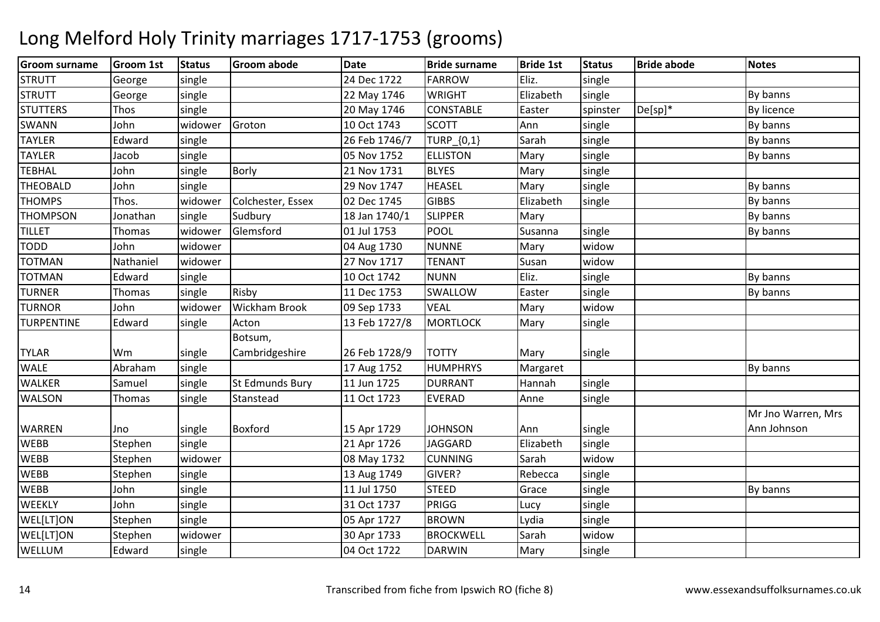### Groom surnamee |Groom 1st |Status |Groom abode | Date | Bride surname | Bride 1st | Status | Bride abode | Notes **STRUTT**  Georgesingle | 24 Dec 1722 FARROWW Eliz. single<br>
<del>The Elizabeth</del> single **STRUTT**  George|**single** | 22 May 1746 WRIGHT Elizabeth<br>CONSTABLE Easter single By banns<br>spinster De[sp]\* By licence **STUTTERS** Thos single 20 May 17466 CONSTABLE Easter spinster De[sp]\* By licence SWANNN John widower Groton 10 Oct 1743 SCOTT Ann single By banns TAYLERR 1991 Edward single 26 Feb 1746/7 TURP [0,1] Sarah single By banns TAYLER Jacob single 05 Nov 1752 ELLISTONN Mary single By banns **TEBHAL**  Johnn single Borly 21 Nov 1731 BLYES Mary single THEOBALDD John single 29 Nov 1747 HEASEL Mary single By banns **THOMPS**  Thos. widower Colchester, Essex 02 Dec 1745GIBBS Elizabeth<br>SLIPPER Mary single  $\qquad$  By banns **THOMPSON** N Jonathan single Sudbury 18 Jan 1740/1 SLIPPER Mary Nary By banns TILLETThomas lwidower Glemsford d 101 Jul 1753 POOL Susanna single and By banns TODDD John widower 04 Aug 1730 NUNNE Mary widow widow TOTMANNathaniel widower 27 Nov 1717 TENANT Susan widow single TOTMANN Edward single 10 Oct 1742 NUNN Eliz. single By banns TURNERR Thomas single Risby 11 Dec 1753 SWALLOW W Easter single By banns TURNOR John widower Wickham Brook 09 Sep 1733 VEAL Mary widowsingle TURPENTINE Edwardd single Acton 13 Feb 1727/8 MORTLOCK Mary single TYLAR Wm single Botsum, Cambridgeshire26 Feb 1728/9 TOTTY Mary Single<br>17 Aug 1752 HUMPHRYS Margaret WALE Abraham single 17 Aug 1752 HUMPHRYS Margaret By banns WALKERR 15 Samuel single St Edmunds Bury 11 Jun 1725 DURRANT Hannah single **WALSON** N Thomas single Stanstead 11 Oct 1723 EVERAD Anne single WARREN Jno single Boxford 15 Apr 1729 JOHNSON Ann singlesingle Mr Jno Warren, Mrs Ann JohnsonWEBBB Stephen single 21 Apr 1726 JAGGARD **IAGGARD** Elizabeth<br>CUNNING Sarah WEBB Stephen widower 08 May 1732 CUNNINGSarah widow<br>Rebecca single single WEBBB 51 Stephen single 13 Aug 1749 GIVER? Rebecca single **WEBB** B 11 Jul 1750 STEED D Grace single By banns **WEEKLY**  Johnsingle 31 Oct 1737 PRIGG<br>single 35 Apr 1727 BROWN G Lucy single **WEL[LTION** N Stephen single 1998 and 1727 BROWN Lydia single **WEL[LTION** N Stephen widower 30 Apr 1733 BROCKWELL Sarah widow single WELLUMM | Edward | single | | 04 Oct 1722 | DARWIN | Mary | single